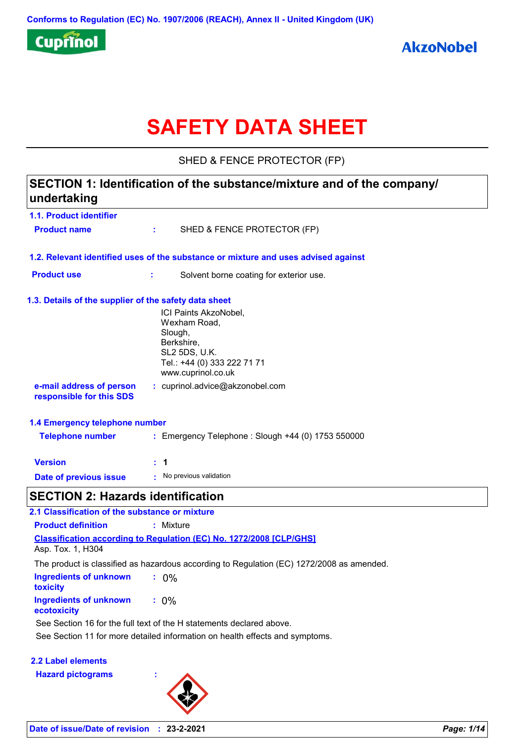

# **SAFETY DATA SHEET**

SHED & FENCE PROTECTOR (FP)

### **1.1. Product identifier SECTION 1: Identification of the substance/mixture and of the company/ undertaking**

| <b>Product name</b>                                   | ta a s                                       | SHED & FENCE PROTECTOR (FP)                                                        |  |
|-------------------------------------------------------|----------------------------------------------|------------------------------------------------------------------------------------|--|
|                                                       |                                              | 1.2. Relevant identified uses of the substance or mixture and uses advised against |  |
| <b>Product use</b>                                    | Solvent borne coating for exterior use.<br>÷ |                                                                                    |  |
| 1.3. Details of the supplier of the safety data sheet |                                              |                                                                                    |  |
|                                                       |                                              | ICI Paints AkzoNobel,                                                              |  |
|                                                       |                                              | Wexham Road,                                                                       |  |
|                                                       |                                              | Slough,<br>Berkshire,                                                              |  |
|                                                       |                                              | SL2 5DS, U.K.                                                                      |  |
|                                                       |                                              | Tel.: +44 (0) 333 222 71 71<br>www.cuprinol.co.uk                                  |  |
| e-mail address of person<br>responsible for this SDS  |                                              | : cuprinol.advice@akzonobel.com                                                    |  |
| 1.4 Emergency telephone number                        |                                              |                                                                                    |  |
| <b>Telephone number</b>                               |                                              | : Emergency Telephone : Slough +44 (0) 1753 550000                                 |  |
| <b>Version</b>                                        | $\therefore$ 1                               |                                                                                    |  |
| Date of previous issue                                | No previous validation                       |                                                                                    |  |
| CECTION O. Herewele identification                    |                                              |                                                                                    |  |

### **SECTION 2: Hazards identification**

| 2.1 Classification of the substance or mixture |                                                                                           |  |  |  |
|------------------------------------------------|-------------------------------------------------------------------------------------------|--|--|--|
| <b>Product definition</b>                      | : Mixture                                                                                 |  |  |  |
| Asp. Tox. 1, H304                              | <b>Classification according to Regulation (EC) No. 1272/2008 [CLP/GHS]</b>                |  |  |  |
|                                                | The product is classified as hazardous according to Regulation (EC) 1272/2008 as amended. |  |  |  |
| Ingredients of unknown<br><b>toxicity</b>      | $: 0\%$                                                                                   |  |  |  |
| Ingredients of unknown<br>ecotoxicity          | $: 0\%$                                                                                   |  |  |  |
|                                                | See Section 16 for the full text of the H statements declared above.                      |  |  |  |
|                                                | See Section 11 for more detailed information on health effects and symptoms.              |  |  |  |

### **2.2 Label elements**

**Hazard pictograms :**

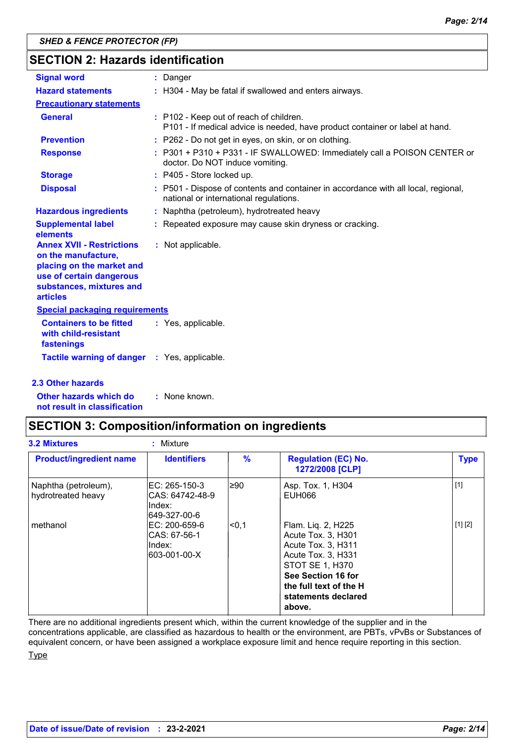### **SECTION 2: Hazards identification**

| <b>Signal word</b>                                                                                                                                              | : Danger                                                                                                                     |  |
|-----------------------------------------------------------------------------------------------------------------------------------------------------------------|------------------------------------------------------------------------------------------------------------------------------|--|
| <b>Hazard statements</b>                                                                                                                                        | : H304 - May be fatal if swallowed and enters airways.                                                                       |  |
| <b>Precautionary statements</b>                                                                                                                                 |                                                                                                                              |  |
| <b>General</b>                                                                                                                                                  | : P102 - Keep out of reach of children.<br>P101 - If medical advice is needed, have product container or label at hand.      |  |
| <b>Prevention</b>                                                                                                                                               | : P262 - Do not get in eyes, on skin, or on clothing.                                                                        |  |
| <b>Response</b>                                                                                                                                                 | : P301 + P310 + P331 - IF SWALLOWED: Immediately call a POISON CENTER or<br>doctor. Do NOT induce vomiting.                  |  |
| <b>Storage</b>                                                                                                                                                  | $:$ P405 - Store locked up.                                                                                                  |  |
| <b>Disposal</b>                                                                                                                                                 | : P501 - Dispose of contents and container in accordance with all local, regional,<br>national or international regulations. |  |
| <b>Hazardous ingredients</b>                                                                                                                                    | : Naphtha (petroleum), hydrotreated heavy                                                                                    |  |
| <b>Supplemental label</b><br>elements                                                                                                                           | : Repeated exposure may cause skin dryness or cracking.                                                                      |  |
| <b>Annex XVII - Restrictions</b><br>on the manufacture,<br>placing on the market and<br>use of certain dangerous<br>substances, mixtures and<br><b>articles</b> | : Not applicable.                                                                                                            |  |
| <b>Special packaging requirements</b>                                                                                                                           |                                                                                                                              |  |
| <b>Containers to be fitted</b><br>with child-resistant<br>fastenings                                                                                            | : Yes, applicable.                                                                                                           |  |
| Tactile warning of danger : Yes, applicable.                                                                                                                    |                                                                                                                              |  |

#### **2.3 Other hazards**

**Other hazards which do : not result in classification** : None known.

### **SECTION 3: Composition/information on ingredients**

| <b>Product/ingredient name</b>             | <b>Identifiers</b>                                            | $\frac{9}{6}$ | <b>Regulation (EC) No.</b><br>1272/2008 [CLP]                                                                                                                                            | <b>Type</b> |
|--------------------------------------------|---------------------------------------------------------------|---------------|------------------------------------------------------------------------------------------------------------------------------------------------------------------------------------------|-------------|
| Naphtha (petroleum),<br>hydrotreated heavy | IEC: 265-150-3<br>ICAS: 64742-48-9<br>lIndex:<br>649-327-00-6 | l≥90          | Asp. Tox. 1, H304<br>EUH066                                                                                                                                                              | $[1]$       |
| methanol                                   | EC: 200-659-6<br>CAS: 67-56-1<br>Index:<br>603-001-00-X       | l<0.1         | Flam. Liq. 2, H225<br>Acute Tox. 3, H301<br>Acute Tox. 3, H311<br>Acute Tox. 3, H331<br>STOT SE 1, H370<br>See Section 16 for<br>the full text of the H<br>statements declared<br>above. | [1] [2]     |

There are no additional ingredients present which, within the current knowledge of the supplier and in the concentrations applicable, are classified as hazardous to health or the environment, are PBTs, vPvBs or Substances of equivalent concern, or have been assigned a workplace exposure limit and hence require reporting in this section.

Type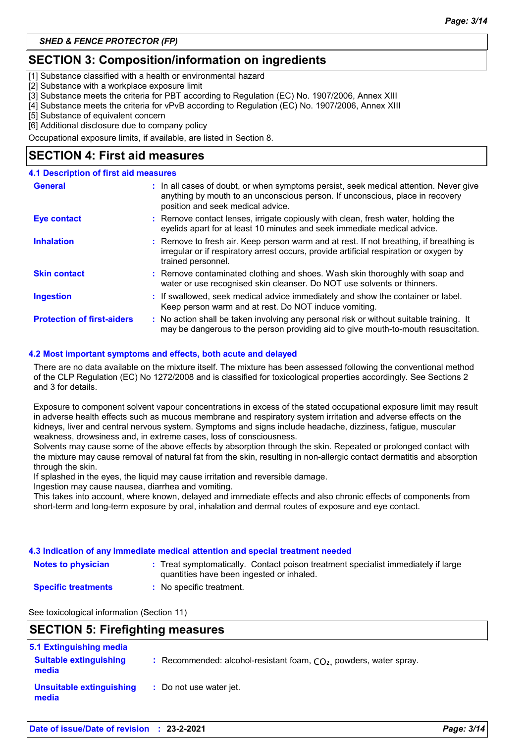### **SECTION 3: Composition/information on ingredients**

[1] Substance classified with a health or environmental hazard

[2] Substance with a workplace exposure limit

[3] Substance meets the criteria for PBT according to Regulation (EC) No. 1907/2006, Annex XIII

[4] Substance meets the criteria for vPvB according to Regulation (EC) No. 1907/2006, Annex XIII

[5] Substance of equivalent concern

[6] Additional disclosure due to company policy

Occupational exposure limits, if available, are listed in Section 8.

### **SECTION 4: First aid measures**

#### **4.1 Description of first aid measures**

| <b>General</b>                    | : In all cases of doubt, or when symptoms persist, seek medical attention. Never give<br>anything by mouth to an unconscious person. If unconscious, place in recovery<br>position and seek medical advice. |
|-----------------------------------|-------------------------------------------------------------------------------------------------------------------------------------------------------------------------------------------------------------|
| <b>Eye contact</b>                | : Remove contact lenses, irrigate copiously with clean, fresh water, holding the<br>eyelids apart for at least 10 minutes and seek immediate medical advice.                                                |
| <b>Inhalation</b>                 | : Remove to fresh air. Keep person warm and at rest. If not breathing, if breathing is<br>irregular or if respiratory arrest occurs, provide artificial respiration or oxygen by<br>trained personnel.      |
| <b>Skin contact</b>               | : Remove contaminated clothing and shoes. Wash skin thoroughly with soap and<br>water or use recognised skin cleanser. Do NOT use solvents or thinners.                                                     |
| <b>Ingestion</b>                  | : If swallowed, seek medical advice immediately and show the container or label.<br>Keep person warm and at rest. Do NOT induce vomiting.                                                                   |
| <b>Protection of first-aiders</b> | : No action shall be taken involving any personal risk or without suitable training. It<br>may be dangerous to the person providing aid to give mouth-to-mouth resuscitation.                               |

#### **4.2 Most important symptoms and effects, both acute and delayed**

There are no data available on the mixture itself. The mixture has been assessed following the conventional method of the CLP Regulation (EC) No 1272/2008 and is classified for toxicological properties accordingly. See Sections 2 and 3 for details.

Exposure to component solvent vapour concentrations in excess of the stated occupational exposure limit may result in adverse health effects such as mucous membrane and respiratory system irritation and adverse effects on the kidneys, liver and central nervous system. Symptoms and signs include headache, dizziness, fatigue, muscular weakness, drowsiness and, in extreme cases, loss of consciousness.

Solvents may cause some of the above effects by absorption through the skin. Repeated or prolonged contact with the mixture may cause removal of natural fat from the skin, resulting in non-allergic contact dermatitis and absorption through the skin.

If splashed in the eyes, the liquid may cause irritation and reversible damage.

Ingestion may cause nausea, diarrhea and vomiting.

This takes into account, where known, delayed and immediate effects and also chronic effects of components from short-term and long-term exposure by oral, inhalation and dermal routes of exposure and eye contact.

#### **4.3 Indication of any immediate medical attention and special treatment needed**

- **Notes to physician Treat symptomatically. Contact poison treatment specialist immediately if large :** quantities have been ingested or inhaled.
- **Specific treatments**
- **:** No specific treatment.

See toxicological information (Section 11)

### **SECTION 5: Firefighting measures**

| 5.1 Extinguishing media                |                                                                      |
|----------------------------------------|----------------------------------------------------------------------|
| <b>Suitable extinguishing</b><br>media | : Recommended: alcohol-resistant foam, $CO2$ , powders, water spray. |
| Unsuitable extinguishing<br>media      | : Do not use water jet.                                              |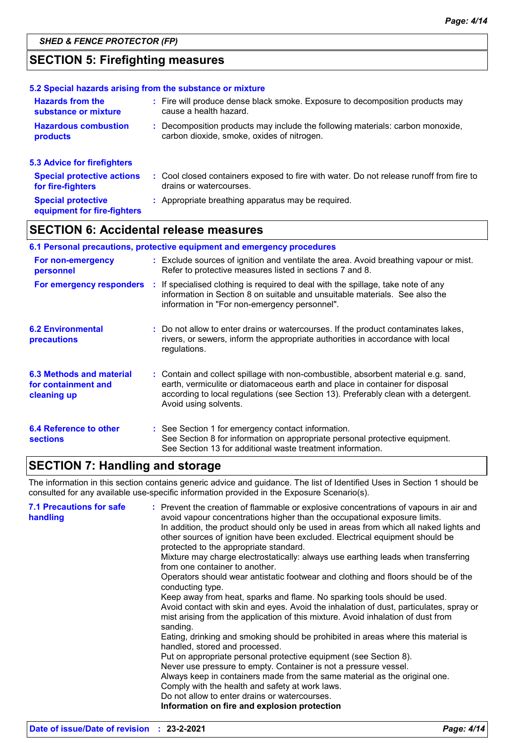### **SECTION 5: Firefighting measures**

|                                                          | 5.2 Special hazards arising from the substance or mixture                               |
|----------------------------------------------------------|-----------------------------------------------------------------------------------------|
| <b>Hazards from the</b>                                  | : Fire will produce dense black smoke. Exposure to decomposition products may           |
| substance or mixture                                     | cause a health hazard.                                                                  |
| <b>Hazardous combustion</b>                              | : Decomposition products may include the following materials: carbon monoxide,          |
| <b>products</b>                                          | carbon dioxide, smoke, oxides of nitrogen.                                              |
| 5.3 Advice for firefighters                              |                                                                                         |
| <b>Special protective actions</b>                        | : Cool closed containers exposed to fire with water. Do not release runoff from fire to |
| for fire-fighters                                        | drains or watercourses.                                                                 |
| <b>Special protective</b><br>equipment for fire-fighters | : Appropriate breathing apparatus may be required.                                      |

### **SECTION 6: Accidental release measures**

#### **6.1 Personal precautions, protective equipment and emergency procedures**

| For non-emergency<br>personnel                                 | : Exclude sources of ignition and ventilate the area. Avoid breathing vapour or mist.<br>Refer to protective measures listed in sections 7 and 8.                                                                                                                                  |
|----------------------------------------------------------------|------------------------------------------------------------------------------------------------------------------------------------------------------------------------------------------------------------------------------------------------------------------------------------|
| For emergency responders                                       | : If specialised clothing is required to deal with the spillage, take note of any<br>information in Section 8 on suitable and unsuitable materials. See also the<br>information in "For non-emergency personnel".                                                                  |
| <b>6.2 Environmental</b><br>precautions                        | : Do not allow to enter drains or watercourses. If the product contaminates lakes,<br>rivers, or sewers, inform the appropriate authorities in accordance with local<br>regulations.                                                                                               |
| 6.3 Methods and material<br>for containment and<br>cleaning up | : Contain and collect spillage with non-combustible, absorbent material e.g. sand,<br>earth, vermiculite or diatomaceous earth and place in container for disposal<br>according to local regulations (see Section 13). Preferably clean with a detergent.<br>Avoid using solvents. |
| 6.4 Reference to other<br><b>sections</b>                      | : See Section 1 for emergency contact information.<br>See Section 8 for information on appropriate personal protective equipment.<br>See Section 13 for additional waste treatment information.                                                                                    |

### **SECTION 7: Handling and storage**

The information in this section contains generic advice and guidance. The list of Identified Uses in Section 1 should be consulted for any available use-specific information provided in the Exposure Scenario(s).

| <b>7.1 Precautions for safe</b><br>handling | : Prevent the creation of flammable or explosive concentrations of vapours in air and<br>avoid vapour concentrations higher than the occupational exposure limits.<br>In addition, the product should only be used in areas from which all naked lights and<br>other sources of ignition have been excluded. Electrical equipment should be<br>protected to the appropriate standard.<br>Mixture may charge electrostatically: always use earthing leads when transferring<br>from one container to another.<br>Operators should wear antistatic footwear and clothing and floors should be of the<br>conducting type.<br>Keep away from heat, sparks and flame. No sparking tools should be used.<br>Avoid contact with skin and eyes. Avoid the inhalation of dust, particulates, spray or<br>mist arising from the application of this mixture. Avoid inhalation of dust from<br>sanding.<br>Eating, drinking and smoking should be prohibited in areas where this material is<br>handled, stored and processed.<br>Put on appropriate personal protective equipment (see Section 8).<br>Never use pressure to empty. Container is not a pressure vessel.<br>Always keep in containers made from the same material as the original one.<br>Comply with the health and safety at work laws.<br>Do not allow to enter drains or watercourses. |
|---------------------------------------------|------------------------------------------------------------------------------------------------------------------------------------------------------------------------------------------------------------------------------------------------------------------------------------------------------------------------------------------------------------------------------------------------------------------------------------------------------------------------------------------------------------------------------------------------------------------------------------------------------------------------------------------------------------------------------------------------------------------------------------------------------------------------------------------------------------------------------------------------------------------------------------------------------------------------------------------------------------------------------------------------------------------------------------------------------------------------------------------------------------------------------------------------------------------------------------------------------------------------------------------------------------------------------------------------------------------------------------------------|
|                                             | Information on fire and explosion protection                                                                                                                                                                                                                                                                                                                                                                                                                                                                                                                                                                                                                                                                                                                                                                                                                                                                                                                                                                                                                                                                                                                                                                                                                                                                                                   |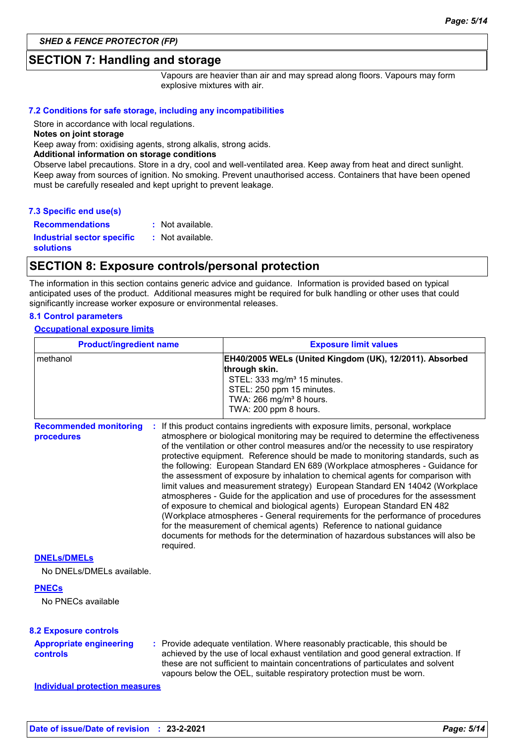#### **SECTION 7: Handling and storage**

Vapours are heavier than air and may spread along floors. Vapours may form explosive mixtures with air.

#### **7.2 Conditions for safe storage, including any incompatibilities**

Store in accordance with local regulations.

**Notes on joint storage**

Keep away from: oxidising agents, strong alkalis, strong acids.

#### **Additional information on storage conditions**

Observe label precautions. Store in a dry, cool and well-ventilated area. Keep away from heat and direct sunlight. Keep away from sources of ignition. No smoking. Prevent unauthorised access. Containers that have been opened must be carefully resealed and kept upright to prevent leakage.

**Recommendations : Industrial sector specific : solutions** : Not available. : Not available.

#### **SECTION 8: Exposure controls/personal protection**

The information in this section contains generic advice and guidance. Information is provided based on typical anticipated uses of the product. Additional measures might be required for bulk handling or other uses that could significantly increase worker exposure or environmental releases.

#### **8.1 Control parameters**

#### **Occupational exposure limits**

| <b>Product/ingredient name</b>                  |           | <b>Exposure limit values</b>                                                                                                                                                                                                                                                                                                                                                                                                                                                                                                                                                                                                                                                                                                                                                                                                                                                                                                                                                                                          |
|-------------------------------------------------|-----------|-----------------------------------------------------------------------------------------------------------------------------------------------------------------------------------------------------------------------------------------------------------------------------------------------------------------------------------------------------------------------------------------------------------------------------------------------------------------------------------------------------------------------------------------------------------------------------------------------------------------------------------------------------------------------------------------------------------------------------------------------------------------------------------------------------------------------------------------------------------------------------------------------------------------------------------------------------------------------------------------------------------------------|
| methanol                                        |           | EH40/2005 WELs (United Kingdom (UK), 12/2011). Absorbed<br>through skin.<br>STEL: 333 mg/m <sup>3</sup> 15 minutes.<br>STEL: 250 ppm 15 minutes.<br>TWA: 266 mg/m <sup>3</sup> 8 hours.<br>TWA: 200 ppm 8 hours.                                                                                                                                                                                                                                                                                                                                                                                                                                                                                                                                                                                                                                                                                                                                                                                                      |
| <b>Recommended monitoring</b><br>procedures     | required. | : If this product contains ingredients with exposure limits, personal, workplace<br>atmosphere or biological monitoring may be required to determine the effectiveness<br>of the ventilation or other control measures and/or the necessity to use respiratory<br>protective equipment. Reference should be made to monitoring standards, such as<br>the following: European Standard EN 689 (Workplace atmospheres - Guidance for<br>the assessment of exposure by inhalation to chemical agents for comparison with<br>limit values and measurement strategy) European Standard EN 14042 (Workplace<br>atmospheres - Guide for the application and use of procedures for the assessment<br>of exposure to chemical and biological agents) European Standard EN 482<br>(Workplace atmospheres - General requirements for the performance of procedures<br>for the measurement of chemical agents) Reference to national guidance<br>documents for methods for the determination of hazardous substances will also be |
| <b>DNELs/DMELs</b><br>No DNELs/DMELs available. |           |                                                                                                                                                                                                                                                                                                                                                                                                                                                                                                                                                                                                                                                                                                                                                                                                                                                                                                                                                                                                                       |
| <b>PNECs</b><br>No PNECs available              |           |                                                                                                                                                                                                                                                                                                                                                                                                                                                                                                                                                                                                                                                                                                                                                                                                                                                                                                                                                                                                                       |
| <b>8.2 Exposure controls</b>                    |           |                                                                                                                                                                                                                                                                                                                                                                                                                                                                                                                                                                                                                                                                                                                                                                                                                                                                                                                                                                                                                       |
| <b>Appropriate engineering</b><br>controls      |           | : Provide adequate ventilation. Where reasonably practicable, this should be<br>achieved by the use of local exhaust ventilation and good general extraction. If<br>these are not sufficient to maintain concentrations of particulates and solvent<br>vapours below the OEL, suitable respiratory protection must be worn.                                                                                                                                                                                                                                                                                                                                                                                                                                                                                                                                                                                                                                                                                           |
| <b>Individual protection measures</b>           |           |                                                                                                                                                                                                                                                                                                                                                                                                                                                                                                                                                                                                                                                                                                                                                                                                                                                                                                                                                                                                                       |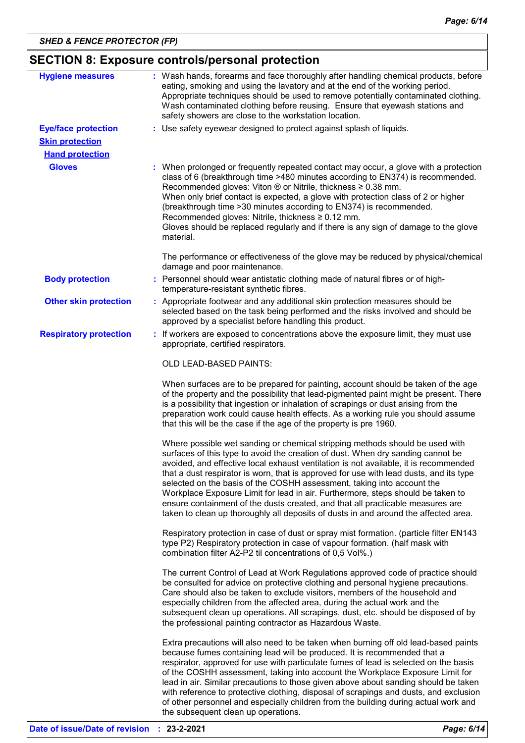### **SECTION 8: Exposure controls/personal protection**

| <b>Hygiene measures</b>                              | : Wash hands, forearms and face thoroughly after handling chemical products, before<br>eating, smoking and using the lavatory and at the end of the working period.<br>Appropriate techniques should be used to remove potentially contaminated clothing.<br>Wash contaminated clothing before reusing. Ensure that eyewash stations and<br>safety showers are close to the workstation location.                                                                                                                                                                                                                                                                                       |
|------------------------------------------------------|-----------------------------------------------------------------------------------------------------------------------------------------------------------------------------------------------------------------------------------------------------------------------------------------------------------------------------------------------------------------------------------------------------------------------------------------------------------------------------------------------------------------------------------------------------------------------------------------------------------------------------------------------------------------------------------------|
| <b>Eye/face protection</b><br><b>Skin protection</b> | : Use safety eyewear designed to protect against splash of liquids.                                                                                                                                                                                                                                                                                                                                                                                                                                                                                                                                                                                                                     |
| <b>Hand protection</b>                               |                                                                                                                                                                                                                                                                                                                                                                                                                                                                                                                                                                                                                                                                                         |
| <b>Gloves</b>                                        | : When prolonged or frequently repeated contact may occur, a glove with a protection<br>class of 6 (breakthrough time >480 minutes according to EN374) is recommended.<br>Recommended gloves: Viton $\otimes$ or Nitrile, thickness $\geq 0.38$ mm.<br>When only brief contact is expected, a glove with protection class of 2 or higher<br>(breakthrough time > 30 minutes according to EN374) is recommended.<br>Recommended gloves: Nitrile, thickness ≥ 0.12 mm.<br>Gloves should be replaced regularly and if there is any sign of damage to the glove<br>material.                                                                                                                |
|                                                      | The performance or effectiveness of the glove may be reduced by physical/chemical<br>damage and poor maintenance.                                                                                                                                                                                                                                                                                                                                                                                                                                                                                                                                                                       |
| <b>Body protection</b>                               | : Personnel should wear antistatic clothing made of natural fibres or of high-<br>temperature-resistant synthetic fibres.                                                                                                                                                                                                                                                                                                                                                                                                                                                                                                                                                               |
| <b>Other skin protection</b>                         | : Appropriate footwear and any additional skin protection measures should be<br>selected based on the task being performed and the risks involved and should be<br>approved by a specialist before handling this product.                                                                                                                                                                                                                                                                                                                                                                                                                                                               |
| <b>Respiratory protection</b>                        | : If workers are exposed to concentrations above the exposure limit, they must use<br>appropriate, certified respirators.                                                                                                                                                                                                                                                                                                                                                                                                                                                                                                                                                               |
|                                                      | OLD LEAD-BASED PAINTS:                                                                                                                                                                                                                                                                                                                                                                                                                                                                                                                                                                                                                                                                  |
|                                                      | When surfaces are to be prepared for painting, account should be taken of the age<br>of the property and the possibility that lead-pigmented paint might be present. There<br>is a possibility that ingestion or inhalation of scrapings or dust arising from the<br>preparation work could cause health effects. As a working rule you should assume<br>that this will be the case if the age of the property is pre 1960.                                                                                                                                                                                                                                                             |
|                                                      | Where possible wet sanding or chemical stripping methods should be used with<br>surfaces of this type to avoid the creation of dust. When dry sanding cannot be<br>avoided, and effective local exhaust ventilation is not available, it is recommended<br>that a dust respirator is worn, that is approved for use with lead dusts, and its type<br>selected on the basis of the COSHH assessment, taking into account the<br>Workplace Exposure Limit for lead in air. Furthermore, steps should be taken to<br>ensure containment of the dusts created, and that all practicable measures are<br>taken to clean up thoroughly all deposits of dusts in and around the affected area. |
|                                                      | Respiratory protection in case of dust or spray mist formation. (particle filter EN143<br>type P2) Respiratory protection in case of vapour formation. (half mask with<br>combination filter A2-P2 til concentrations of 0,5 Vol%.)                                                                                                                                                                                                                                                                                                                                                                                                                                                     |
|                                                      | The current Control of Lead at Work Regulations approved code of practice should<br>be consulted for advice on protective clothing and personal hygiene precautions.<br>Care should also be taken to exclude visitors, members of the household and<br>especially children from the affected area, during the actual work and the<br>subsequent clean up operations. All scrapings, dust, etc. should be disposed of by<br>the professional painting contractor as Hazardous Waste.                                                                                                                                                                                                     |
|                                                      | Extra precautions will also need to be taken when burning off old lead-based paints<br>because fumes containing lead will be produced. It is recommended that a<br>respirator, approved for use with particulate fumes of lead is selected on the basis<br>of the COSHH assessment, taking into account the Workplace Exposure Limit for<br>lead in air. Similar precautions to those given above about sanding should be taken<br>with reference to protective clothing, disposal of scrapings and dusts, and exclusion<br>of other personnel and especially children from the building during actual work and                                                                         |

the subsequent clean up operations.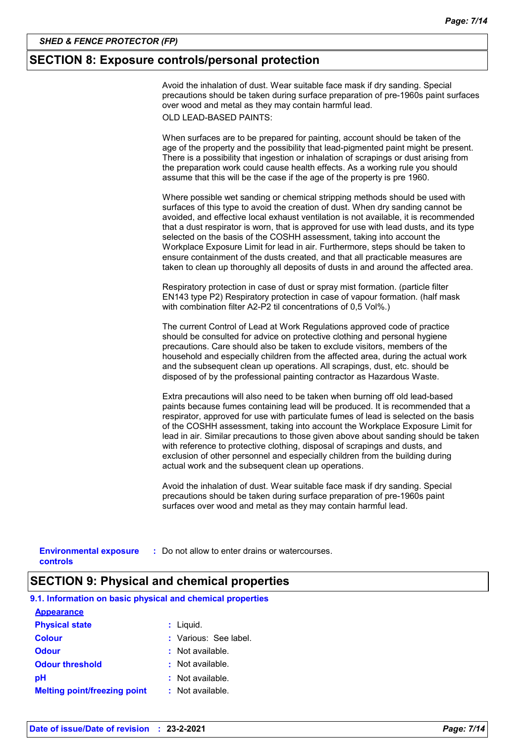#### **SECTION 8: Exposure controls/personal protection**

Avoid the inhalation of dust. Wear suitable face mask if dry sanding. Special precautions should be taken during surface preparation of pre-1960s paint surfaces over wood and metal as they may contain harmful lead. OLD LEAD-BASED PAINTS:

When surfaces are to be prepared for painting, account should be taken of the age of the property and the possibility that lead-pigmented paint might be present. There is a possibility that ingestion or inhalation of scrapings or dust arising from the preparation work could cause health effects. As a working rule you should assume that this will be the case if the age of the property is pre 1960.

Where possible wet sanding or chemical stripping methods should be used with surfaces of this type to avoid the creation of dust. When dry sanding cannot be avoided, and effective local exhaust ventilation is not available, it is recommended that a dust respirator is worn, that is approved for use with lead dusts, and its type selected on the basis of the COSHH assessment, taking into account the Workplace Exposure Limit for lead in air. Furthermore, steps should be taken to ensure containment of the dusts created, and that all practicable measures are taken to clean up thoroughly all deposits of dusts in and around the affected area.

Respiratory protection in case of dust or spray mist formation. (particle filter EN143 type P2) Respiratory protection in case of vapour formation. (half mask with combination filter A2-P2 til concentrations of 0,5 Vol%.)

The current Control of Lead at Work Regulations approved code of practice should be consulted for advice on protective clothing and personal hygiene precautions. Care should also be taken to exclude visitors, members of the household and especially children from the affected area, during the actual work and the subsequent clean up operations. All scrapings, dust, etc. should be disposed of by the professional painting contractor as Hazardous Waste.

Extra precautions will also need to be taken when burning off old lead-based paints because fumes containing lead will be produced. It is recommended that a respirator, approved for use with particulate fumes of lead is selected on the basis of the COSHH assessment, taking into account the Workplace Exposure Limit for lead in air. Similar precautions to those given above about sanding should be taken with reference to protective clothing, disposal of scrapings and dusts, and exclusion of other personnel and especially children from the building during actual work and the subsequent clean up operations.

Avoid the inhalation of dust. Wear suitable face mask if dry sanding. Special precautions should be taken during surface preparation of pre-1960s paint surfaces over wood and metal as they may contain harmful lead.

**Environmental exposure : Do not allow to enter drains or watercourses. controls**

#### **SECTION 9: Physical and chemical properties**

| 9.1. Information on basic physical and chemical properties |                       |
|------------------------------------------------------------|-----------------------|
| <b>Appearance</b>                                          |                       |
| <b>Physical state</b>                                      | $:$ Liquid.           |
| <b>Colour</b>                                              | : Various: See label. |
| <b>Odour</b>                                               | : Not available.      |
| <b>Odour threshold</b>                                     | : Not available.      |
| рH                                                         | $:$ Not available.    |
| <b>Melting point/freezing point</b>                        | : Not available.      |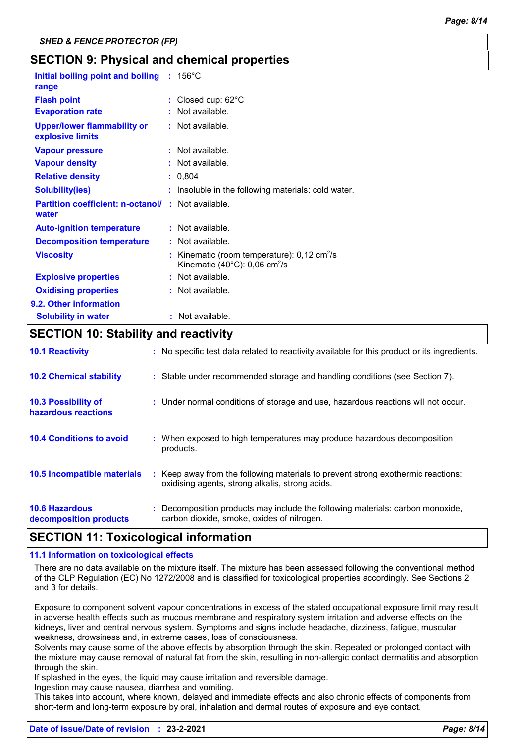### **SECTION 9: Physical and chemical properties**

| Initial boiling point and boiling : 156°C<br>range                |                                                                                                                     |
|-------------------------------------------------------------------|---------------------------------------------------------------------------------------------------------------------|
| <b>Flash point</b>                                                | : Closed cup: $62^{\circ}$ C                                                                                        |
| <b>Evaporation rate</b>                                           | : Not available.                                                                                                    |
| <b>Upper/lower flammability or</b><br>explosive limits            | : Not available.                                                                                                    |
| <b>Vapour pressure</b>                                            | $:$ Not available.                                                                                                  |
| <b>Vapour density</b>                                             | : Not available.                                                                                                    |
| <b>Relative density</b>                                           | : 0,804                                                                                                             |
| <b>Solubility(ies)</b>                                            | : Insoluble in the following materials: cold water.                                                                 |
| <b>Partition coefficient: n-octanol/: Not available.</b><br>water |                                                                                                                     |
| <b>Auto-ignition temperature</b>                                  | : Not available.                                                                                                    |
| <b>Decomposition temperature</b>                                  | : Not available.                                                                                                    |
| <b>Viscosity</b>                                                  | : Kinematic (room temperature): $0,12 \text{ cm}^2/\text{s}$<br>Kinematic $(40^{\circ}$ C): 0,06 cm <sup>2</sup> /s |
| <b>Explosive properties</b>                                       | : Not available.                                                                                                    |
| <b>Oxidising properties</b>                                       | : Not available.                                                                                                    |
| 9.2. Other information                                            |                                                                                                                     |
| <b>Solubility in water</b>                                        | : Not available.                                                                                                    |

### **SECTION 10: Stability and reactivity**

| <b>10.1 Reactivity</b>                            | : No specific test data related to reactivity available for this product or its ingredients.                                        |
|---------------------------------------------------|-------------------------------------------------------------------------------------------------------------------------------------|
| <b>10.2 Chemical stability</b>                    | : Stable under recommended storage and handling conditions (see Section 7).                                                         |
| <b>10.3 Possibility of</b><br>hazardous reactions | : Under normal conditions of storage and use, hazardous reactions will not occur.                                                   |
| <b>10.4 Conditions to avoid</b>                   | : When exposed to high temperatures may produce hazardous decomposition<br>products.                                                |
| 10.5 Incompatible materials                       | : Keep away from the following materials to prevent strong exothermic reactions:<br>oxidising agents, strong alkalis, strong acids. |
| <b>10.6 Hazardous</b><br>decomposition products   | : Decomposition products may include the following materials: carbon monoxide,<br>carbon dioxide, smoke, oxides of nitrogen.        |

#### **SECTION 11: Toxicological information**

#### **11.1 Information on toxicological effects**

There are no data available on the mixture itself. The mixture has been assessed following the conventional method of the CLP Regulation (EC) No 1272/2008 and is classified for toxicological properties accordingly. See Sections 2 and 3 for details.

Exposure to component solvent vapour concentrations in excess of the stated occupational exposure limit may result in adverse health effects such as mucous membrane and respiratory system irritation and adverse effects on the kidneys, liver and central nervous system. Symptoms and signs include headache, dizziness, fatigue, muscular weakness, drowsiness and, in extreme cases, loss of consciousness.

Solvents may cause some of the above effects by absorption through the skin. Repeated or prolonged contact with the mixture may cause removal of natural fat from the skin, resulting in non-allergic contact dermatitis and absorption through the skin.

If splashed in the eyes, the liquid may cause irritation and reversible damage.

Ingestion may cause nausea, diarrhea and vomiting.

This takes into account, where known, delayed and immediate effects and also chronic effects of components from short-term and long-term exposure by oral, inhalation and dermal routes of exposure and eye contact.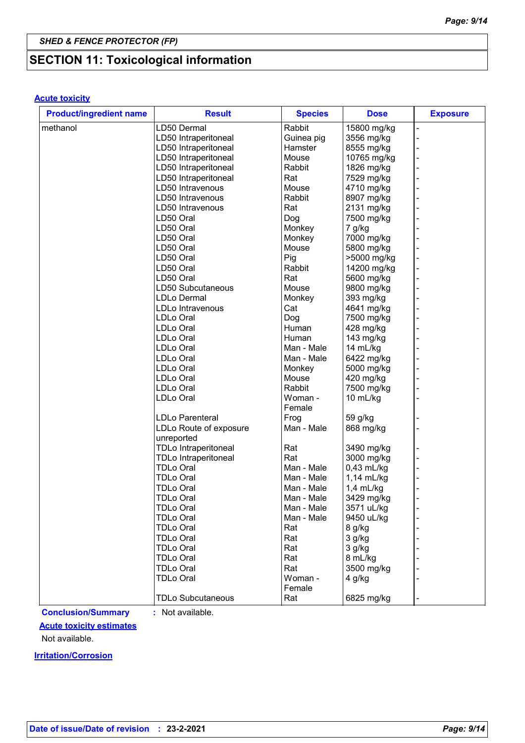## **SECTION 11: Toxicological information**

#### **Acute toxicity**

| <b>Product/ingredient name</b> | <b>Result</b>               | <b>Species</b> | <b>Dose</b>  | <b>Exposure</b> |
|--------------------------------|-----------------------------|----------------|--------------|-----------------|
| methanol                       | LD50 Dermal                 | Rabbit         | 15800 mg/kg  |                 |
|                                | LD50 Intraperitoneal        | Guinea pig     | 3556 mg/kg   |                 |
|                                | LD50 Intraperitoneal        | Hamster        | 8555 mg/kg   |                 |
|                                | LD50 Intraperitoneal        | Mouse          | 10765 mg/kg  |                 |
|                                | LD50 Intraperitoneal        | Rabbit         | 1826 mg/kg   |                 |
|                                | LD50 Intraperitoneal        | Rat            | 7529 mg/kg   |                 |
|                                | LD50 Intravenous            | Mouse          | 4710 mg/kg   |                 |
|                                | LD50 Intravenous            | Rabbit         | 8907 mg/kg   |                 |
|                                | LD50 Intravenous            | Rat            | 2131 mg/kg   |                 |
|                                | LD50 Oral                   | Dog            | 7500 mg/kg   |                 |
|                                | LD50 Oral                   | Monkey         | 7 g/kg       |                 |
|                                | LD50 Oral                   | Monkey         | 7000 mg/kg   |                 |
|                                | LD50 Oral                   | Mouse          | 5800 mg/kg   |                 |
|                                | LD50 Oral                   | Pig            | >5000 mg/kg  |                 |
|                                | LD50 Oral                   | Rabbit         | 14200 mg/kg  |                 |
|                                | LD50 Oral                   | Rat            | 5600 mg/kg   |                 |
|                                | LD50 Subcutaneous           | Mouse          | 9800 mg/kg   |                 |
|                                | <b>LDLo Dermal</b>          | Monkey         | 393 mg/kg    |                 |
|                                | LDLo Intravenous            | Cat            | 4641 mg/kg   |                 |
|                                | LDLo Oral                   | Dog            | 7500 mg/kg   |                 |
|                                | <b>LDLo Oral</b>            | Human          | 428 mg/kg    |                 |
|                                | <b>LDLo Oral</b>            | Human          | 143 mg/kg    |                 |
|                                | LDLo Oral                   | Man - Male     | 14 mL/kg     |                 |
|                                |                             |                |              |                 |
|                                | <b>LDLo Oral</b>            | Man - Male     | 6422 mg/kg   |                 |
|                                | LDLo Oral                   | Monkey         | 5000 mg/kg   |                 |
|                                | LDLo Oral                   | Mouse          | 420 mg/kg    |                 |
|                                | LDLo Oral                   | Rabbit         | 7500 mg/kg   |                 |
|                                | LDLo Oral                   | Woman -        | 10 mL/kg     |                 |
|                                |                             | Female         |              |                 |
|                                | <b>LDLo Parenteral</b>      | Frog           | 59 g/kg      |                 |
|                                | LDLo Route of exposure      | Man - Male     | 868 mg/kg    |                 |
|                                | unreported                  |                |              |                 |
|                                | <b>TDLo Intraperitoneal</b> | Rat            | 3490 mg/kg   |                 |
|                                | <b>TDLo Intraperitoneal</b> | Rat            | 3000 mg/kg   |                 |
|                                | <b>TDLo Oral</b>            | Man - Male     | $0,43$ mL/kg |                 |
|                                | <b>TDLo Oral</b>            | Man - Male     | 1,14 mL/kg   |                 |
|                                | <b>TDLo Oral</b>            | Man - Male     | $1,4$ mL/kg  |                 |
|                                | <b>TDLo Oral</b>            | Man - Male     | 3429 mg/kg   |                 |
|                                | <b>TDLo Oral</b>            | Man - Male     | 3571 uL/kg   |                 |
|                                | <b>TDLo Oral</b>            | Man - Male     | 9450 uL/kg   |                 |
|                                | <b>TDLo Oral</b>            | Rat            | 8 g/kg       |                 |
|                                | <b>TDLo Oral</b>            | Rat            | 3 g/kg       |                 |
|                                | <b>TDLo Oral</b>            | Rat            | 3 g/kg       |                 |
|                                | <b>TDLo Oral</b>            | Rat            | 8 mL/kg      |                 |
|                                | <b>TDLo Oral</b>            | Rat            | 3500 mg/kg   |                 |
|                                | <b>TDLo Oral</b>            | Woman -        | 4 g/kg       |                 |
|                                |                             | Female         |              |                 |
|                                | <b>TDLo Subcutaneous</b>    | Rat            | 6825 mg/kg   |                 |

**Conclusion/Summary :** Not available.

#### **Acute toxicity estimates**

Not available.

**Irritation/Corrosion**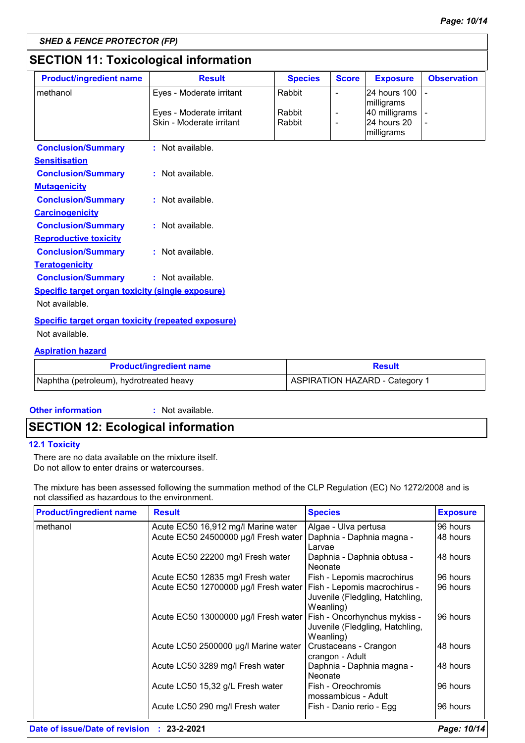### **SECTION 11: Toxicological information**

| <b>Product/ingredient name</b>                            | <b>Result</b>            | <b>Species</b> | <b>Score</b>             | <b>Exposure</b>             | <b>Observation</b> |  |
|-----------------------------------------------------------|--------------------------|----------------|--------------------------|-----------------------------|--------------------|--|
| methanol                                                  | Eyes - Moderate irritant | Rabbit         | $\blacksquare$           | 24 hours 100                |                    |  |
|                                                           | Eyes - Moderate irritant | Rabbit         | $\overline{\phantom{a}}$ | milligrams<br>40 milligrams |                    |  |
|                                                           | Skin - Moderate irritant | Rabbit         | $\overline{\phantom{a}}$ | 24 hours 20                 |                    |  |
|                                                           |                          |                |                          | milligrams                  |                    |  |
| <b>Conclusion/Summary</b>                                 | : Not available.         |                |                          |                             |                    |  |
| <b>Sensitisation</b>                                      |                          |                |                          |                             |                    |  |
| <b>Conclusion/Summary</b>                                 | : Not available.         |                |                          |                             |                    |  |
| <b>Mutagenicity</b>                                       |                          |                |                          |                             |                    |  |
| <b>Conclusion/Summary</b>                                 | $:$ Not available.       |                |                          |                             |                    |  |
| <b>Carcinogenicity</b>                                    |                          |                |                          |                             |                    |  |
| <b>Conclusion/Summary</b>                                 | : Not available.         |                |                          |                             |                    |  |
| <b>Reproductive toxicity</b>                              |                          |                |                          |                             |                    |  |
| <b>Conclusion/Summary</b>                                 | : Not available.         |                |                          |                             |                    |  |
| <b>Teratogenicity</b>                                     |                          |                |                          |                             |                    |  |
| <b>Conclusion/Summary</b>                                 | : Not available.         |                |                          |                             |                    |  |
| <b>Specific target organ toxicity (single exposure)</b>   |                          |                |                          |                             |                    |  |
| Not available.                                            |                          |                |                          |                             |                    |  |
| <b>Specific target organ toxicity (repeated exposure)</b> |                          |                |                          |                             |                    |  |
| Not available.                                            |                          |                |                          |                             |                    |  |
| <b>Aspiration hazard</b>                                  |                          |                |                          |                             |                    |  |

| <b>Product/ingredient name</b>          | <b>Result</b>                  |
|-----------------------------------------|--------------------------------|
| Naphtha (petroleum), hydrotreated heavy | ASPIRATION HAZARD - Category 1 |

#### **Other information :**

: Not available.

### **SECTION 12: Ecological information**

#### **12.1 Toxicity**

There are no data available on the mixture itself. Do not allow to enter drains or watercourses.

The mixture has been assessed following the summation method of the CLP Regulation (EC) No 1272/2008 and is not classified as hazardous to the environment.

| <b>Product/ingredient name</b> | <b>Result</b>                        | <b>Species</b>                                                               | <b>Exposure</b> |
|--------------------------------|--------------------------------------|------------------------------------------------------------------------------|-----------------|
| methanol                       | Acute EC50 16,912 mg/l Marine water  | Algae - Ulva pertusa                                                         | 96 hours        |
|                                | Acute EC50 24500000 µg/l Fresh water | Daphnia - Daphnia magna -<br>Larvae                                          | 48 hours        |
|                                | Acute EC50 22200 mg/l Fresh water    | Daphnia - Daphnia obtusa -<br>Neonate                                        | 48 hours        |
|                                | Acute EC50 12835 mg/l Fresh water    | Fish - Lepomis macrochirus                                                   | 96 hours        |
|                                | Acute EC50 12700000 µg/l Fresh water | Fish - Lepomis macrochirus -<br>Juvenile (Fledgling, Hatchling,<br>Weanling) | 96 hours        |
|                                | Acute EC50 13000000 µg/l Fresh water | Fish - Oncorhynchus mykiss -<br>Juvenile (Fledgling, Hatchling,<br>Weanling) | 96 hours        |
|                                | Acute LC50 2500000 µg/l Marine water | Crustaceans - Crangon<br>crangon - Adult                                     | 48 hours        |
|                                | Acute LC50 3289 mg/l Fresh water     | Daphnia - Daphnia magna -<br>Neonate                                         | 48 hours        |
|                                | Acute LC50 15,32 g/L Fresh water     | Fish - Oreochromis<br>mossambicus - Adult                                    | 96 hours        |
|                                | Acute LC50 290 mg/l Fresh water      | Fish - Danio rerio - Egg                                                     | 96 hours        |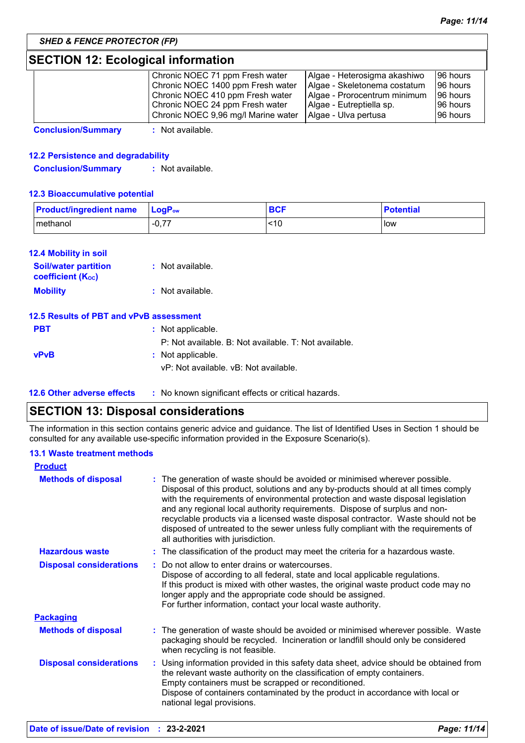### **SECTION 12: Ecological information**

| Chronic NOEC 71 ppm Fresh water     | Algae - Heterosigma akashiwo | 96 hours |
|-------------------------------------|------------------------------|----------|
| Chronic NOEC 1400 ppm Fresh water   | Algae - Skeletonema costatum | 96 hours |
| Chronic NOEC 410 ppm Fresh water    | Algae - Prorocentrum minimum | 96 hours |
| Chronic NOEC 24 ppm Fresh water     | Algae - Eutreptiella sp.     | 96 hours |
| Chronic NOEC 9,96 mg/l Marine water | Algae - Ulva pertusa         | 96 hours |

**Conclusion/Summary :** Not available.

#### **12.2 Persistence and degradability**

**Conclusion/Summary :** Not available.

#### **12.3 Bioaccumulative potential**

| <b>Product/ingredient name</b> | $\mathsf{LocP}_\mathsf{ow}$ | <b>BCF</b> | <b>Potential</b> |
|--------------------------------|-----------------------------|------------|------------------|
| methanol                       | $\sim$ 77<br>- - U. r. .    | <10        | l low            |

#### **12.4 Mobility in soil**

| <b>Soil/water partition</b><br><b>coefficient</b> (K <sub>oc</sub> ) | : Not available. |
|----------------------------------------------------------------------|------------------|
| <b>Mobility</b>                                                      | : Not available. |

#### **12.5 Results of PBT and vPvB assessment**

| <b>PBT</b>  | : Not applicable.                                     |
|-------------|-------------------------------------------------------|
|             | P: Not available. B: Not available. T: Not available. |
| <b>vPvB</b> | : Not applicable.                                     |
|             | vP: Not available, vB: Not available,                 |
|             |                                                       |

**12.6 Other adverse effects** : No known significant effects or critical hazards.

### **SECTION 13: Disposal considerations**

The information in this section contains generic advice and guidance. The list of Identified Uses in Section 1 should be consulted for any available use-specific information provided in the Exposure Scenario(s).

#### **13.1 Waste treatment methods**

| <b>Product</b>                 |                                                                                                                                                                                                                                                                                                                                                                                                                                                                                                                                                    |
|--------------------------------|----------------------------------------------------------------------------------------------------------------------------------------------------------------------------------------------------------------------------------------------------------------------------------------------------------------------------------------------------------------------------------------------------------------------------------------------------------------------------------------------------------------------------------------------------|
| <b>Methods of disposal</b>     | The generation of waste should be avoided or minimised wherever possible.<br>Disposal of this product, solutions and any by-products should at all times comply<br>with the requirements of environmental protection and waste disposal legislation<br>and any regional local authority requirements. Dispose of surplus and non-<br>recyclable products via a licensed waste disposal contractor. Waste should not be<br>disposed of untreated to the sewer unless fully compliant with the requirements of<br>all authorities with jurisdiction. |
| <b>Hazardous waste</b>         | : The classification of the product may meet the criteria for a hazardous waste.                                                                                                                                                                                                                                                                                                                                                                                                                                                                   |
| <b>Disposal considerations</b> | Do not allow to enter drains or watercourses.<br>÷.<br>Dispose of according to all federal, state and local applicable regulations.<br>If this product is mixed with other wastes, the original waste product code may no<br>longer apply and the appropriate code should be assigned.<br>For further information, contact your local waste authority.                                                                                                                                                                                             |
| <b>Packaging</b>               |                                                                                                                                                                                                                                                                                                                                                                                                                                                                                                                                                    |
| <b>Methods of disposal</b>     | The generation of waste should be avoided or minimised wherever possible. Waste<br>packaging should be recycled. Incineration or landfill should only be considered<br>when recycling is not feasible.                                                                                                                                                                                                                                                                                                                                             |
| <b>Disposal considerations</b> | : Using information provided in this safety data sheet, advice should be obtained from<br>the relevant waste authority on the classification of empty containers.<br>Empty containers must be scrapped or reconditioned.<br>Dispose of containers contaminated by the product in accordance with local or<br>national legal provisions.                                                                                                                                                                                                            |
|                                |                                                                                                                                                                                                                                                                                                                                                                                                                                                                                                                                                    |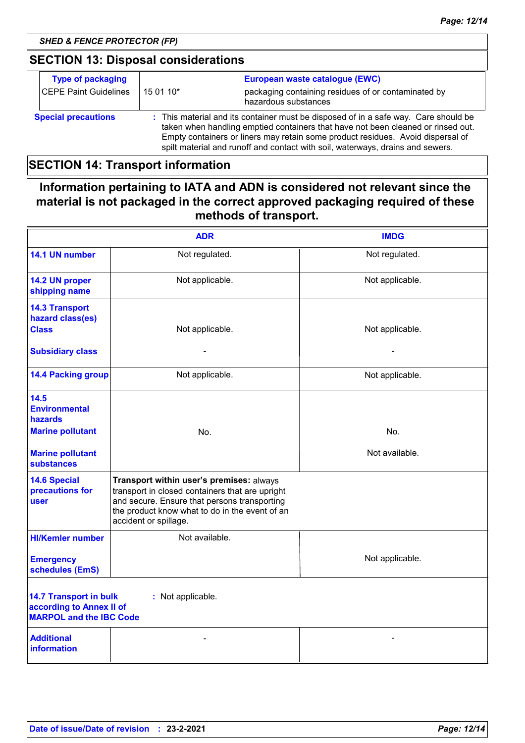### **SECTION 13: Disposal considerations**

| <b>Type of packaging</b>   | European waste catalogue (EWC)                                                                                                                                                                                                                                                                                                               |                                                                             |
|----------------------------|----------------------------------------------------------------------------------------------------------------------------------------------------------------------------------------------------------------------------------------------------------------------------------------------------------------------------------------------|-----------------------------------------------------------------------------|
| CEPE Paint Guidelines      | 15 01 10*                                                                                                                                                                                                                                                                                                                                    | packaging containing residues of or contaminated by<br>hazardous substances |
| <b>Special precautions</b> | : This material and its container must be disposed of in a safe way. Care should be<br>taken when handling emptied containers that have not been cleaned or rinsed out.<br>Empty containers or liners may retain some product residues. Avoid dispersal of<br>spilt material and runoff and contact with soil, waterways, drains and sewers. |                                                                             |

### **SECTION 14: Transport information**

### **Information pertaining to IATA and ADN is considered not relevant since the material is not packaged in the correct approved packaging required of these methods of transport.**

|                                                                                                                  | <b>ADR</b>                                                                                                                                                                                                             | <b>IMDG</b>     |  |
|------------------------------------------------------------------------------------------------------------------|------------------------------------------------------------------------------------------------------------------------------------------------------------------------------------------------------------------------|-----------------|--|
| 14.1 UN number                                                                                                   | Not regulated.                                                                                                                                                                                                         | Not regulated.  |  |
| 14.2 UN proper<br>shipping name                                                                                  | Not applicable.                                                                                                                                                                                                        | Not applicable. |  |
| <b>14.3 Transport</b><br>hazard class(es)<br><b>Class</b>                                                        | Not applicable.                                                                                                                                                                                                        | Not applicable. |  |
| <b>Subsidiary class</b>                                                                                          |                                                                                                                                                                                                                        |                 |  |
| <b>14.4 Packing group</b>                                                                                        | Not applicable.                                                                                                                                                                                                        | Not applicable. |  |
| 14.5<br><b>Environmental</b><br><b>hazards</b><br><b>Marine pollutant</b>                                        | No.                                                                                                                                                                                                                    | No.             |  |
| <b>Marine pollutant</b><br><b>substances</b>                                                                     |                                                                                                                                                                                                                        | Not available.  |  |
| <b>14.6 Special</b><br>precautions for<br>user                                                                   | Transport within user's premises: always<br>transport in closed containers that are upright<br>and secure. Ensure that persons transporting<br>the product know what to do in the event of an<br>accident or spillage. |                 |  |
| <b>HI/Kemler number</b>                                                                                          | Not available.                                                                                                                                                                                                         |                 |  |
| <b>Emergency</b><br>schedules (EmS)                                                                              |                                                                                                                                                                                                                        | Not applicable. |  |
| <b>14.7 Transport in bulk</b><br>: Not applicable.<br>according to Annex II of<br><b>MARPOL and the IBC Code</b> |                                                                                                                                                                                                                        |                 |  |
| <b>Additional</b><br><b>information</b>                                                                          |                                                                                                                                                                                                                        |                 |  |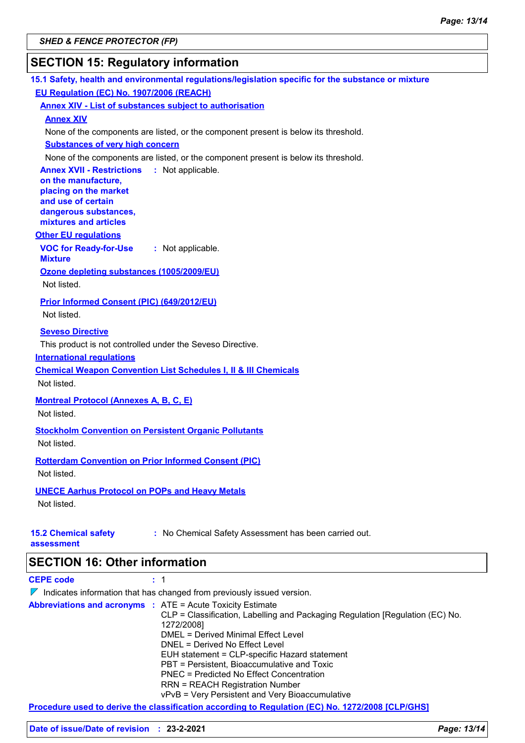### **SECTION 15: Regulatory information**

| 15.1 Safety, health and environmental regulations/legislation specific for the substance or mixture                                                                                                                    |
|------------------------------------------------------------------------------------------------------------------------------------------------------------------------------------------------------------------------|
| EU Regulation (EC) No. 1907/2006 (REACH)                                                                                                                                                                               |
| <b>Annex XIV - List of substances subject to authorisation</b>                                                                                                                                                         |
| <b>Annex XIV</b>                                                                                                                                                                                                       |
| None of the components are listed, or the component present is below its threshold.                                                                                                                                    |
| <b>Substances of very high concern</b>                                                                                                                                                                                 |
| None of the components are listed, or the component present is below its threshold.                                                                                                                                    |
| <b>Annex XVII - Restrictions</b><br>: Not applicable.<br>on the manufacture,<br>placing on the market<br>and use of certain<br>dangerous substances,<br>mixtures and articles                                          |
| <b>Other EU regulations</b>                                                                                                                                                                                            |
| <b>VOC for Ready-for-Use</b><br>: Not applicable.<br><b>Mixture</b>                                                                                                                                                    |
| Ozone depleting substances (1005/2009/EU)                                                                                                                                                                              |
| Not listed.                                                                                                                                                                                                            |
| Prior Informed Consent (PIC) (649/2012/EU)<br>Not listed.                                                                                                                                                              |
| <b>Seveso Directive</b><br>This product is not controlled under the Seveso Directive.<br><b>International requlations</b><br><b>Chemical Weapon Convention List Schedules I, II &amp; III Chemicals</b><br>Not listed. |
| <b>Montreal Protocol (Annexes A, B, C, E)</b><br>Not listed.                                                                                                                                                           |
| <b>Stockholm Convention on Persistent Organic Pollutants</b><br>Not listed.                                                                                                                                            |
| <b>Rotterdam Convention on Prior Informed Consent (PIC)</b><br>Not listed.                                                                                                                                             |
| <b>UNECE Aarhus Protocol on POPs and Heavy Metals</b><br>Not listed.                                                                                                                                                   |
| : No Chemical Safety Assessment has been carried out.<br><b>15.2 Chemical safety</b><br>assessment                                                                                                                     |
| <b>SECTION 16: Other information</b>                                                                                                                                                                                   |
| <b>CEPE code</b><br>1                                                                                                                                                                                                  |
| $\nabla$ Indicates information that has changed from previously issued version.                                                                                                                                        |

|                                                                   | <u> 1 marcales information that has changed from previously issued version.</u>                                                                                                                                                                                                                                                                                                                               |
|-------------------------------------------------------------------|---------------------------------------------------------------------------------------------------------------------------------------------------------------------------------------------------------------------------------------------------------------------------------------------------------------------------------------------------------------------------------------------------------------|
| <b>Abbreviations and acronyms : ATE = Acute Toxicity Estimate</b> | CLP = Classification, Labelling and Packaging Regulation [Regulation (EC) No.<br>1272/2008]<br>DMEL = Derived Minimal Effect Level<br>DNEL = Derived No Effect Level<br>EUH statement = CLP-specific Hazard statement<br>PBT = Persistent, Bioaccumulative and Toxic<br>PNEC = Predicted No Effect Concentration<br><b>RRN = REACH Registration Number</b><br>vPvB = Very Persistent and Very Bioaccumulative |
|                                                                   |                                                                                                                                                                                                                                                                                                                                                                                                               |

**Procedure used to derive the classification according to Regulation (EC) No. 1272/2008 [CLP/GHS]**